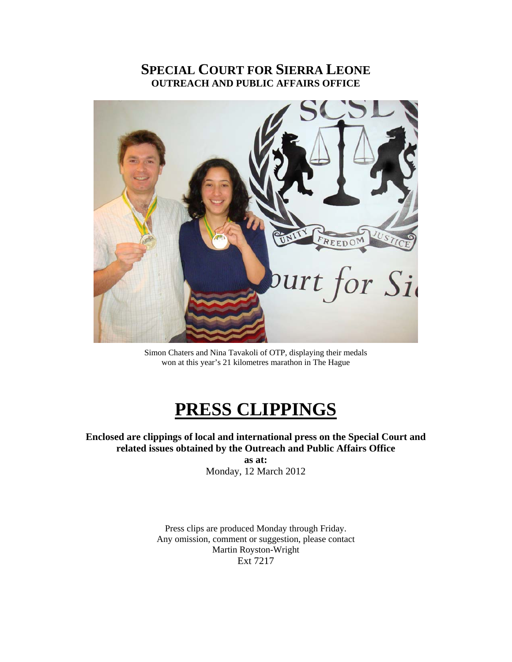## **SPECIAL COURT FOR SIERRA LEONE OUTREACH AND PUBLIC AFFAIRS OFFICE**



Simon Chaters and Nina Tavakoli of OTP, displaying their medals won at this year's 21 kilometres marathon in The Hague

# **PRESS CLIPPINGS**

**Enclosed are clippings of local and international press on the Special Court and related issues obtained by the Outreach and Public Affairs Office as at:** 

Monday, 12 March 2012

Press clips are produced Monday through Friday. Any omission, comment or suggestion, please contact Martin Royston-Wright Ext 7217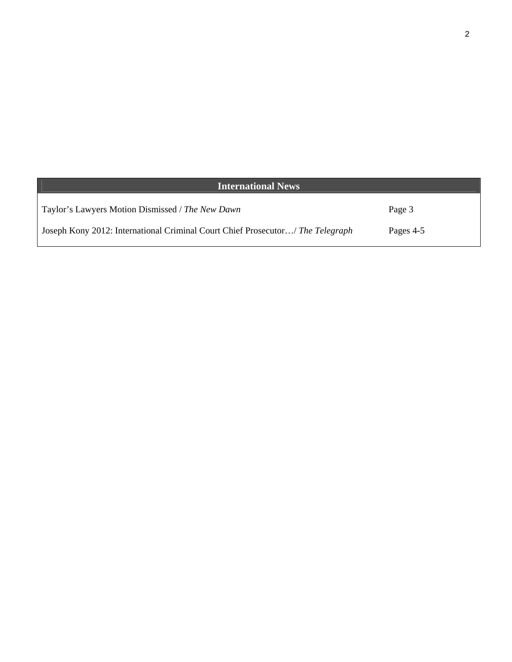| <b>International News</b>                                                      |           |
|--------------------------------------------------------------------------------|-----------|
| Taylor's Lawyers Motion Dismissed / The New Dawn                               | Page 3    |
| Joseph Kony 2012: International Criminal Court Chief Prosecutor/ The Telegraph | Pages 4-5 |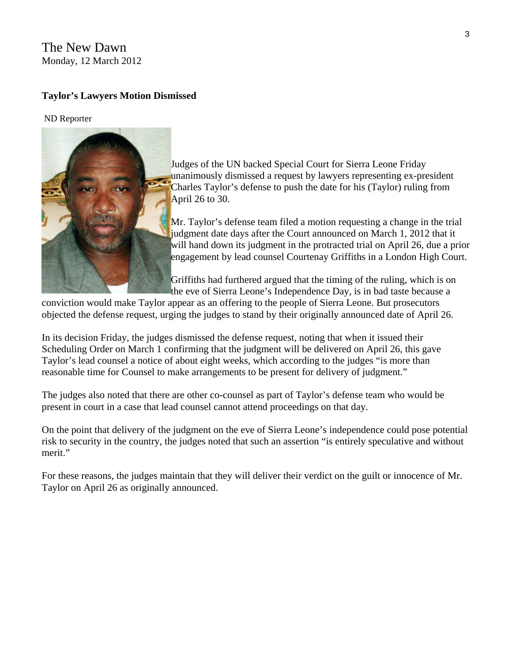### The New Dawn Monday, 12 March 2012

#### **Taylor's Lawyers Motion Dismissed**

#### ND Reporter



Judges of the UN backed Special Court for Sierra Leone Friday unanimously dismissed a request by lawyers representing ex-president Charles Taylor's defense to push the date for his (Taylor) ruling from April 26 to 30.

Mr. Taylor's defense team filed a motion requesting a change in the trial judgment date days after the Court announced on March 1, 2012 that it will hand down its judgment in the protracted trial on April 26, due a prior engagement by lead counsel Courtenay Griffiths in a London High Court.

Griffiths had furthered argued that the timing of the ruling, which is on the eve of Sierra Leone's Independence Day, is in bad taste because a

conviction would make Taylor appear as an offering to the people of Sierra Leone. But prosecutors objected the defense request, urging the judges to stand by their originally announced date of April 26.

In its decision Friday, the judges dismissed the defense request, noting that when it issued their Scheduling Order on March 1 confirming that the judgment will be delivered on April 26, this gave Taylor's lead counsel a notice of about eight weeks, which according to the judges "is more than reasonable time for Counsel to make arrangements to be present for delivery of judgment."

The judges also noted that there are other co-counsel as part of Taylor's defense team who would be present in court in a case that lead counsel cannot attend proceedings on that day.

On the point that delivery of the judgment on the eve of Sierra Leone's independence could pose potential risk to security in the country, the judges noted that such an assertion "is entirely speculative and without merit."

For these reasons, the judges maintain that they will deliver their verdict on the guilt or innocence of Mr. Taylor on April 26 as originally announced.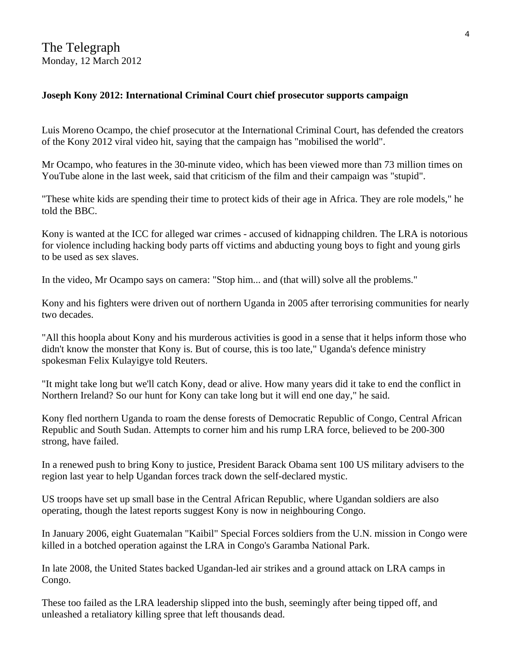### **Joseph Kony 2012: International Criminal Court chief prosecutor supports campaign**

Luis Moreno Ocampo, the chief prosecutor at the International Criminal Court, has defended the creators of the Kony 2012 viral video hit, saying that the campaign has "mobilised the world".

Mr Ocampo, who features in the 30-minute video, which has been viewed more than 73 million times on YouTube alone in the last week, said that criticism of the film and their campaign was "stupid".

"These white kids are spending their time to protect kids of their age in Africa. They are role models," he told the BBC.

Kony is wanted at the ICC for alleged war crimes - accused of kidnapping children. The LRA is notorious for violence including hacking body parts off victims and abducting young boys to fight and young girls to be used as sex slaves.

In the video, Mr Ocampo says on camera: "Stop him... and (that will) solve all the problems."

Kony and his fighters were driven out of northern Uganda in 2005 after terrorising communities for nearly two decades.

"All this hoopla about Kony and his murderous activities is good in a sense that it helps inform those who didn't know the monster that Kony is. But of course, this is too late," Uganda's defence ministry spokesman Felix Kulayigye told Reuters.

"It might take long but we'll catch Kony, dead or alive. How many years did it take to end the conflict in Northern Ireland? So our hunt for Kony can take long but it will end one day," he said.

Kony fled northern Uganda to roam the dense forests of Democratic Republic of Congo, Central African Republic and South Sudan. Attempts to corner him and his rump LRA force, believed to be 200-300 strong, have failed.

In a renewed push to bring Kony to justice, President Barack Obama sent 100 US military advisers to the region last year to help Ugandan forces track down the self-declared mystic.

US troops have set up small base in the Central African Republic, where Ugandan soldiers are also operating, though the latest reports suggest Kony is now in neighbouring Congo.

In January 2006, eight Guatemalan "Kaibil" Special Forces soldiers from the U.N. mission in Congo were killed in a botched operation against the LRA in Congo's Garamba National Park.

In late 2008, the United States backed Ugandan-led air strikes and a ground attack on LRA camps in Congo.

These too failed as the LRA leadership slipped into the bush, seemingly after being tipped off, and unleashed a retaliatory killing spree that left thousands dead.